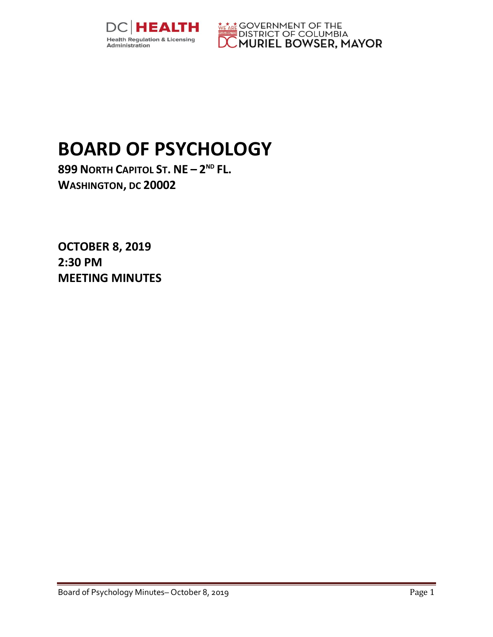



## **BOARD OF PSYCHOLOGY**

**899 NORTH CAPITOL ST. NE – 2 ND FL. WASHINGTON, DC 20002**

**OCTOBER 8, 2019 2:30 PM MEETING MINUTES**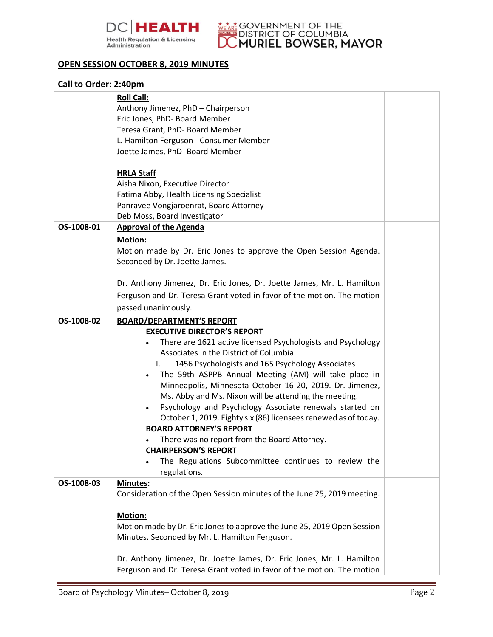



## **OPEN SESSION OCTOBER 8, 2019 MINUTES**

## **Call to Order: 2:40pm**

|            | <b>Roll Call:</b>                                                                                 |  |
|------------|---------------------------------------------------------------------------------------------------|--|
|            | Anthony Jimenez, PhD - Chairperson                                                                |  |
|            | Eric Jones, PhD- Board Member                                                                     |  |
|            | Teresa Grant, PhD- Board Member                                                                   |  |
|            | L. Hamilton Ferguson - Consumer Member                                                            |  |
|            | Joette James, PhD- Board Member                                                                   |  |
|            |                                                                                                   |  |
|            | <b>HRLA Staff</b>                                                                                 |  |
|            | Aisha Nixon, Executive Director                                                                   |  |
|            | Fatima Abby, Health Licensing Specialist                                                          |  |
|            | Panravee Vongjaroenrat, Board Attorney                                                            |  |
|            | Deb Moss, Board Investigator                                                                      |  |
| OS-1008-01 | <b>Approval of the Agenda</b>                                                                     |  |
|            | <b>Motion:</b>                                                                                    |  |
|            | Motion made by Dr. Eric Jones to approve the Open Session Agenda.                                 |  |
|            | Seconded by Dr. Joette James.                                                                     |  |
|            |                                                                                                   |  |
|            | Dr. Anthony Jimenez, Dr. Eric Jones, Dr. Joette James, Mr. L. Hamilton                            |  |
|            | Ferguson and Dr. Teresa Grant voted in favor of the motion. The motion                            |  |
|            | passed unanimously.                                                                               |  |
| OS-1008-02 | <b>BOARD/DEPARTMENT'S REPORT</b>                                                                  |  |
|            | <b>EXECUTIVE DIRECTOR'S REPORT</b>                                                                |  |
|            | There are 1621 active licensed Psychologists and Psychology                                       |  |
|            | Associates in the District of Columbia                                                            |  |
|            | 1456 Psychologists and 165 Psychology Associates<br>$\mathbf{L}$                                  |  |
|            | The 59th ASPPB Annual Meeting (AM) will take place in                                             |  |
|            | Minneapolis, Minnesota October 16-20, 2019. Dr. Jimenez,                                          |  |
|            | Ms. Abby and Ms. Nixon will be attending the meeting.                                             |  |
|            | Psychology and Psychology Associate renewals started on                                           |  |
|            | October 1, 2019. Eighty six (86) licensees renewed as of today.<br><b>BOARD ATTORNEY'S REPORT</b> |  |
|            | There was no report from the Board Attorney.                                                      |  |
|            | <b>CHAIRPERSON'S REPORT</b>                                                                       |  |
|            | The Regulations Subcommittee continues to review the                                              |  |
|            | regulations.                                                                                      |  |
| OS-1008-03 | Minutes:                                                                                          |  |
|            | Consideration of the Open Session minutes of the June 25, 2019 meeting.                           |  |
|            |                                                                                                   |  |
|            | <b>Motion:</b>                                                                                    |  |
|            | Motion made by Dr. Eric Jones to approve the June 25, 2019 Open Session                           |  |
|            | Minutes. Seconded by Mr. L. Hamilton Ferguson.                                                    |  |
|            |                                                                                                   |  |
|            | Dr. Anthony Jimenez, Dr. Joette James, Dr. Eric Jones, Mr. L. Hamilton                            |  |
|            | Ferguson and Dr. Teresa Grant voted in favor of the motion. The motion                            |  |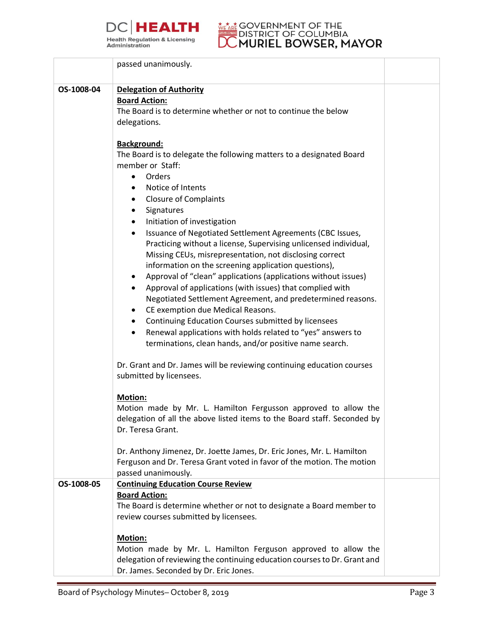



|            | passed unanimously.                                                       |  |
|------------|---------------------------------------------------------------------------|--|
|            |                                                                           |  |
| OS-1008-04 | <b>Delegation of Authority</b>                                            |  |
|            | <b>Board Action:</b>                                                      |  |
|            | The Board is to determine whether or not to continue the below            |  |
|            | delegations.                                                              |  |
|            |                                                                           |  |
|            | <b>Background:</b>                                                        |  |
|            | The Board is to delegate the following matters to a designated Board      |  |
|            | member or Staff:                                                          |  |
|            | Orders<br>$\bullet$                                                       |  |
|            | Notice of Intents                                                         |  |
|            | <b>Closure of Complaints</b><br>$\bullet$                                 |  |
|            | Signatures<br>$\bullet$                                                   |  |
|            | Initiation of investigation<br>$\bullet$                                  |  |
|            | Issuance of Negotiated Settlement Agreements (CBC Issues,<br>$\bullet$    |  |
|            | Practicing without a license, Supervising unlicensed individual,          |  |
|            | Missing CEUs, misrepresentation, not disclosing correct                   |  |
|            | information on the screening application questions),                      |  |
|            | Approval of "clean" applications (applications without issues)<br>٠       |  |
|            | Approval of applications (with issues) that complied with<br>٠            |  |
|            | Negotiated Settlement Agreement, and predetermined reasons.               |  |
|            | CE exemption due Medical Reasons.<br>٠                                    |  |
|            | Continuing Education Courses submitted by licensees<br>$\bullet$          |  |
|            | Renewal applications with holds related to "yes" answers to<br>$\bullet$  |  |
|            | terminations, clean hands, and/or positive name search.                   |  |
|            |                                                                           |  |
|            | Dr. Grant and Dr. James will be reviewing continuing education courses    |  |
|            | submitted by licensees.                                                   |  |
|            |                                                                           |  |
|            | <b>Motion:</b>                                                            |  |
|            | Motion made by Mr. L. Hamilton Fergusson approved to allow the            |  |
|            | delegation of all the above listed items to the Board staff. Seconded by  |  |
|            | Dr. Teresa Grant.                                                         |  |
|            |                                                                           |  |
|            | Dr. Anthony Jimenez, Dr. Joette James, Dr. Eric Jones, Mr. L. Hamilton    |  |
|            | Ferguson and Dr. Teresa Grant voted in favor of the motion. The motion    |  |
|            | passed unanimously.                                                       |  |
| OS-1008-05 | <b>Continuing Education Course Review</b>                                 |  |
|            | <b>Board Action:</b>                                                      |  |
|            | The Board is determine whether or not to designate a Board member to      |  |
|            | review courses submitted by licensees.                                    |  |
|            | Motion:                                                                   |  |
|            | Motion made by Mr. L. Hamilton Ferguson approved to allow the             |  |
|            | delegation of reviewing the continuing education courses to Dr. Grant and |  |
|            | Dr. James. Seconded by Dr. Eric Jones.                                    |  |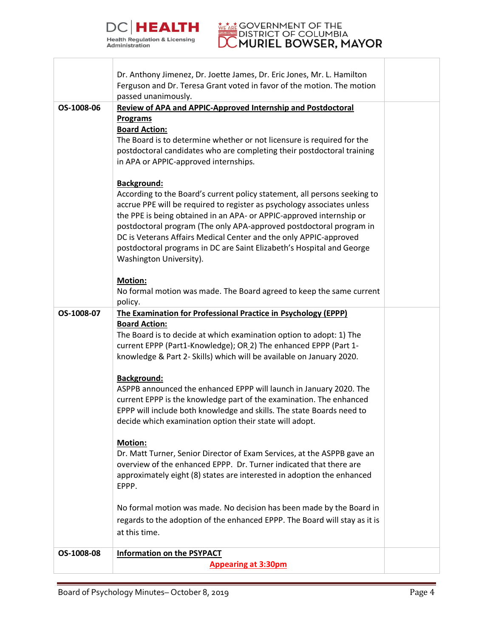

## **DISTRICT OF DOMORIEL B**

| OS-1008-06 | Ferguson and Dr. Teresa Grant voted in favor of the motion. The motion<br>passed unanimously.<br><b>Review of APA and APPIC-Approved Internship and Postdoctoral</b>                                                                                                                                                                                                                                                                                                         |  |
|------------|------------------------------------------------------------------------------------------------------------------------------------------------------------------------------------------------------------------------------------------------------------------------------------------------------------------------------------------------------------------------------------------------------------------------------------------------------------------------------|--|
|            | <b>Programs</b><br><b>Board Action:</b><br>The Board is to determine whether or not licensure is required for the<br>postdoctoral candidates who are completing their postdoctoral training                                                                                                                                                                                                                                                                                  |  |
|            | in APA or APPIC-approved internships.<br><b>Background:</b>                                                                                                                                                                                                                                                                                                                                                                                                                  |  |
|            | According to the Board's current policy statement, all persons seeking to<br>accrue PPE will be required to register as psychology associates unless<br>the PPE is being obtained in an APA- or APPIC-approved internship or<br>postdoctoral program (The only APA-approved postdoctoral program in<br>DC is Veterans Affairs Medical Center and the only APPIC-approved<br>postdoctoral programs in DC are Saint Elizabeth's Hospital and George<br>Washington University). |  |
|            | Motion:<br>No formal motion was made. The Board agreed to keep the same current                                                                                                                                                                                                                                                                                                                                                                                              |  |
|            | policy.                                                                                                                                                                                                                                                                                                                                                                                                                                                                      |  |
| OS-1008-07 | The Examination for Professional Practice in Psychology (EPPP)                                                                                                                                                                                                                                                                                                                                                                                                               |  |
|            | <b>Board Action:</b>                                                                                                                                                                                                                                                                                                                                                                                                                                                         |  |
|            | The Board is to decide at which examination option to adopt: 1) The<br>current EPPP (Part1-Knowledge); OR_2) The enhanced EPPP (Part 1-                                                                                                                                                                                                                                                                                                                                      |  |
|            | knowledge & Part 2- Skills) which will be available on January 2020.                                                                                                                                                                                                                                                                                                                                                                                                         |  |
|            | <b>Background:</b>                                                                                                                                                                                                                                                                                                                                                                                                                                                           |  |
|            | ASPPB announced the enhanced EPPP will launch in January 2020. The                                                                                                                                                                                                                                                                                                                                                                                                           |  |
|            | current EPPP is the knowledge part of the examination. The enhanced                                                                                                                                                                                                                                                                                                                                                                                                          |  |
|            | EPPP will include both knowledge and skills. The state Boards need to<br>decide which examination option their state will adopt.                                                                                                                                                                                                                                                                                                                                             |  |
|            | <b>Motion:</b>                                                                                                                                                                                                                                                                                                                                                                                                                                                               |  |
|            | Dr. Matt Turner, Senior Director of Exam Services, at the ASPPB gave an                                                                                                                                                                                                                                                                                                                                                                                                      |  |
|            | overview of the enhanced EPPP. Dr. Turner indicated that there are<br>approximately eight (8) states are interested in adoption the enhanced                                                                                                                                                                                                                                                                                                                                 |  |
|            | EPPP.                                                                                                                                                                                                                                                                                                                                                                                                                                                                        |  |
|            | No formal motion was made. No decision has been made by the Board in                                                                                                                                                                                                                                                                                                                                                                                                         |  |
|            | regards to the adoption of the enhanced EPPP. The Board will stay as it is                                                                                                                                                                                                                                                                                                                                                                                                   |  |
|            | at this time.                                                                                                                                                                                                                                                                                                                                                                                                                                                                |  |
| OS-1008-08 | <b>Information on the PSYPACT</b>                                                                                                                                                                                                                                                                                                                                                                                                                                            |  |
|            | <b>Appearing at 3:30pm</b>                                                                                                                                                                                                                                                                                                                                                                                                                                                   |  |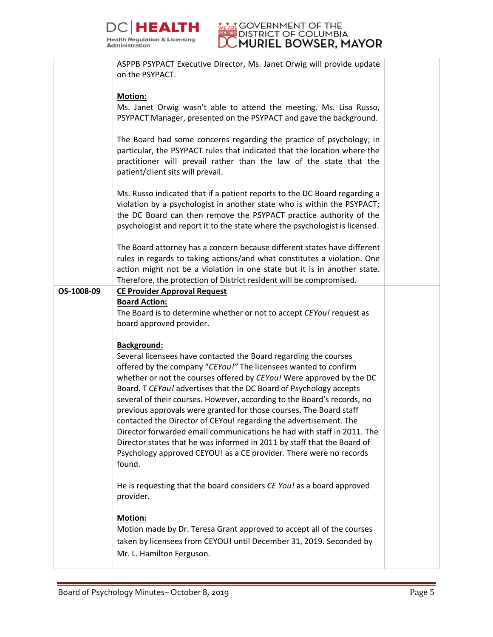



|            | ASPPB PSYPACT Executive Director, Ms. Janet Orwig will provide update                            |  |
|------------|--------------------------------------------------------------------------------------------------|--|
|            | on the PSYPACT.                                                                                  |  |
|            |                                                                                                  |  |
|            | Motion:                                                                                          |  |
|            | Ms. Janet Orwig wasn't able to attend the meeting. Ms. Lisa Russo,                               |  |
|            | PSYPACT Manager, presented on the PSYPACT and gave the background.                               |  |
|            |                                                                                                  |  |
|            |                                                                                                  |  |
|            | The Board had some concerns regarding the practice of psychology; in                             |  |
|            | particular, the PSYPACT rules that indicated that the location where the                         |  |
|            | practitioner will prevail rather than the law of the state that the                              |  |
|            | patient/client sits will prevail.                                                                |  |
|            |                                                                                                  |  |
|            | Ms. Russo indicated that if a patient reports to the DC Board regarding a                        |  |
|            | violation by a psychologist in another state who is within the PSYPACT;                          |  |
|            | the DC Board can then remove the PSYPACT practice authority of the                               |  |
|            | psychologist and report it to the state where the psychologist is licensed.                      |  |
|            |                                                                                                  |  |
|            | The Board attorney has a concern because different states have different                         |  |
|            | rules in regards to taking actions/and what constitutes a violation. One                         |  |
|            | action might not be a violation in one state but it is in another state.                         |  |
|            | Therefore, the protection of District resident will be compromised.                              |  |
|            |                                                                                                  |  |
| OS-1008-09 | <b>CE Provider Approval Request</b>                                                              |  |
|            | <b>Board Action:</b>                                                                             |  |
|            | The Board is to determine whether or not to accept CEYou! request as                             |  |
|            | board approved provider.                                                                         |  |
|            |                                                                                                  |  |
|            | Background:                                                                                      |  |
|            | Several licensees have contacted the Board regarding the courses                                 |  |
|            | offered by the company "CEYou!" The licensees wanted to confirm                                  |  |
|            | whether or not the courses offered by CEYou! Were approved by the DC                             |  |
|            | Board. T CEYou! advertises that the DC Board of Psychology accepts                               |  |
|            | several of their courses. However, according to the Board's records, no                          |  |
|            | previous approvals were granted for those courses. The Board staff                               |  |
|            | contacted the Director of CEYou! regarding the advertisement. The                                |  |
|            | Director forwarded email communications he had with staff in 2011. The                           |  |
|            | Director states that he was informed in 2011 by staff that the Board of                          |  |
|            |                                                                                                  |  |
|            | Psychology approved CEYOU! as a CE provider. There were no records                               |  |
|            | found.                                                                                           |  |
|            |                                                                                                  |  |
|            | He is requesting that the board considers CE You! as a board approved                            |  |
|            | provider.                                                                                        |  |
|            |                                                                                                  |  |
|            | Motion:                                                                                          |  |
|            | Motion made by Dr. Teresa Grant approved to accept all of the courses                            |  |
|            |                                                                                                  |  |
|            |                                                                                                  |  |
|            | taken by licensees from CEYOU! until December 31, 2019. Seconded by<br>Mr. L. Hamilton Ferguson. |  |